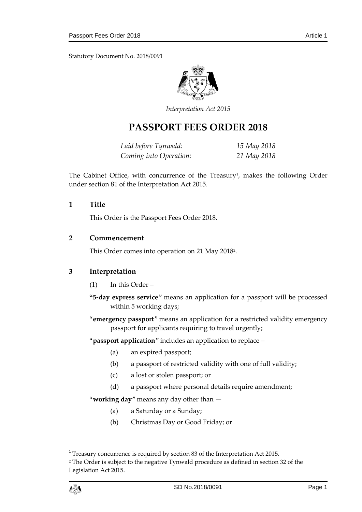Statutory Document No. 2018/0091



*Interpretation Act 2015*

# **PASSPORT FEES ORDER 2018**

*Laid before Tynwald: 15 May 2018 Coming into Operation: 21 May 2018*

The Cabinet Office, with concurrence of the Treasury<sup>1</sup>, makes the following Order under section 81 of the Interpretation Act 2015.

## **1 Title**

This Order is the Passport Fees Order 2018.

## **2 Commencement**

This Order comes into operation on 21 May 2018<sup>2</sup> .

# **3 Interpretation**

- (1) In this Order –
- **"5-day express service**" means an application for a passport will be processed within 5 working days;
- "**emergency passport**" means an application for a restricted validity emergency passport for applicants requiring to travel urgently;

"**passport application**" includes an application to replace –

- (a) an expired passport;
- (b) a passport of restricted validity with one of full validity;
- (c) a lost or stolen passport; or
- (d) a passport where personal details require amendment;

"**working day**" means any day other than —

- (a) a Saturday or a Sunday;
- (b) Christmas Day or Good Friday; or

1

<sup>&</sup>lt;sup>1</sup> Treasury concurrence is required by section 83 of the Interpretation Act 2015.

<sup>2</sup> The Order is subject to the negative Tynwald procedure as defined in section 32 of the Legislation Act 2015.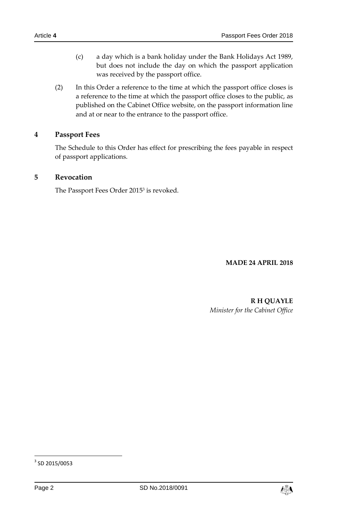- (c) a day which is a bank holiday under the Bank Holidays Act 1989, but does not include the day on which the passport application was received by the passport office.
- (2) In this Order a reference to the time at which the passport office closes is a reference to the time at which the passport office closes to the public, as published on the Cabinet Office website, on the passport information line and at or near to the entrance to the passport office.

# **4 Passport Fees**

The Schedule to this Order has effect for prescribing the fees payable in respect of passport applications.

# **5 Revocation**

The Passport Fees Order 2015<sup>3</sup> is revoked.

#### **MADE 24 APRIL 2018**

**R H QUAYLE** *Minister for the Cabinet Office*



 3 SD 2015/0053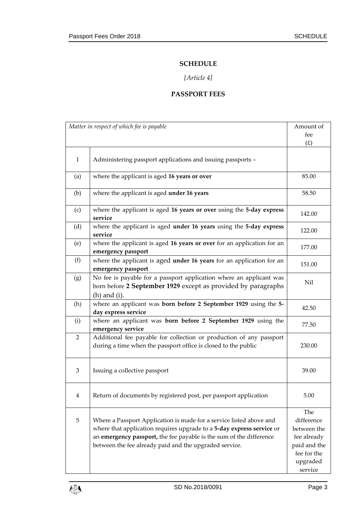## **SCHEDULE**

# *[Article 4]*

# **PASSPORT FEES**

| Matter in respect of which fee is payable |                                                                                                                                                                                                                                                                               | Amount of                                                                                             |
|-------------------------------------------|-------------------------------------------------------------------------------------------------------------------------------------------------------------------------------------------------------------------------------------------------------------------------------|-------------------------------------------------------------------------------------------------------|
|                                           |                                                                                                                                                                                                                                                                               | fee                                                                                                   |
|                                           |                                                                                                                                                                                                                                                                               | (E)                                                                                                   |
| $\mathbf{1}$                              | Administering passport applications and issuing passports -                                                                                                                                                                                                                   |                                                                                                       |
| (a)                                       | where the applicant is aged 16 years or over                                                                                                                                                                                                                                  | 85.00                                                                                                 |
| (b)                                       | where the applicant is aged under 16 years                                                                                                                                                                                                                                    | 58.50                                                                                                 |
| (c)                                       | where the applicant is aged 16 years or over using the 5-day express<br>service                                                                                                                                                                                               | 142.00                                                                                                |
| (d)                                       | where the applicant is aged under 16 years using the 5-day express<br>service                                                                                                                                                                                                 | 122.00                                                                                                |
| (e)                                       | where the applicant is aged 16 years or over for an application for an<br>emergency passport                                                                                                                                                                                  | 177.00                                                                                                |
| (f)                                       | where the applicant is aged under 16 years for an application for an<br>emergency passport                                                                                                                                                                                    | 151.00                                                                                                |
| (g)                                       | No fee is payable for a passport application where an applicant was<br>born before 2 September 1929 except as provided by paragraphs<br>$(h)$ and $(i)$ .                                                                                                                     | Nil                                                                                                   |
| (h)                                       | where an applicant was born before 2 September 1929 using the 5-<br>day express service                                                                                                                                                                                       | 42.50                                                                                                 |
| (i)                                       | where an applicant was born before 2 September 1929 using the<br>emergency service                                                                                                                                                                                            | 77.50                                                                                                 |
| $\overline{2}$                            | Additional fee payable for collection or production of any passport<br>during a time when the passport office is closed to the public                                                                                                                                         | 230.00                                                                                                |
| 3                                         | Issuing a collective passport                                                                                                                                                                                                                                                 | 39.00                                                                                                 |
| 4                                         | Return of documents by registered post, per passport application                                                                                                                                                                                                              | 5.00                                                                                                  |
| $\mathbf 5$                               | Where a Passport Application is made for a service listed above and<br>where that application requires upgrade to a 5-day express service or<br>an emergency passport, the fee payable is the sum of the difference<br>between the fee already paid and the upgraded service. | The<br>difference<br>between the<br>fee already<br>paid and the<br>fee for the<br>upgraded<br>service |